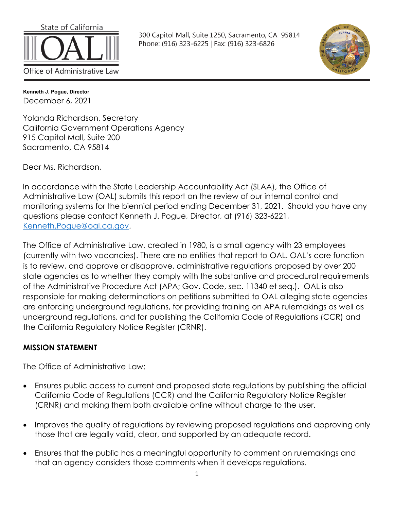

300 Capitol Mall, Suite 1250, Sacramento, CA 95814 Phone: (916) 323-6225 | Fax: (916) 323-6826



**Kenneth J. Pogue, Director** December 6, 2021

Yolanda Richardson, Secretary California Government Operations Agency 915 Capitol Mall, Suite 200 Sacramento, CA 95814

Dear Ms. Richardson,

In accordance with the State Leadership Accountability Act (SLAA), the Office of Administrative Law (OAL) submits this report on the review of our internal control and monitoring systems for the biennial period ending December 31, 2021. Should you have any questions please contact Kenneth J. Pogue, Director, at (916) 323-6221, [Kenneth.Pogue@oal.ca.gov.](mailto:Kenneth.Pogue@oal.ca.gov)

The Office of Administrative Law, created in 1980, is a small agency with 23 employees (currently with two vacancies). There are no entities that report to OAL. OAL's core function is to review, and approve or disapprove, administrative regulations proposed by over 200 state agencies as to whether they comply with the substantive and procedural requirements of the Administrative Procedure Act (APA; Gov. Code, sec. 11340 et seq.). OAL is also responsible for making determinations on petitions submitted to OAL alleging state agencies are enforcing underground regulations, for providing training on APA rulemakings as well as underground regulations, and for publishing the California Code of Regulations (CCR) and the California Regulatory Notice Register (CRNR).

#### **MISSION STATEMENT**

The Office of Administrative Law:

- Ensures public access to current and proposed state regulations by publishing the official California Code of Regulations (CCR) and the California Regulatory Notice Register (CRNR) and making them both available online without charge to the user.
- Improves the quality of regulations by reviewing proposed regulations and approving only those that are legally valid, clear, and supported by an adequate record.
- Ensures that the public has a meaningful opportunity to comment on rulemakings and that an agency considers those comments when it develops regulations.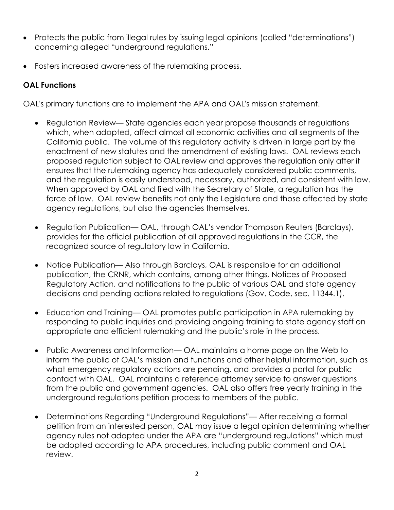- Protects the public from illegal rules by issuing legal opinions (called "determinations") concerning alleged "underground regulations."
- Fosters increased awareness of the rulemaking process.

# **OAL Functions**

OAL's primary functions are to implement the APA and OAL's mission statement.

- Regulation Review— State agencies each year propose thousands of regulations which, when adopted, affect almost all economic activities and all segments of the California public. The volume of this regulatory activity is driven in large part by the enactment of new statutes and the amendment of existing laws. OAL reviews each proposed regulation subject to OAL review and approves the regulation only after it ensures that the rulemaking agency has adequately considered public comments, and the regulation is easily understood, necessary, authorized, and consistent with law. When approved by OAL and filed with the Secretary of State, a regulation has the force of law. OAL review benefits not only the Legislature and those affected by state agency regulations, but also the agencies themselves.
- Regulation Publication— OAL, through OAL's vendor Thompson Reuters (Barclays), provides for the official publication of all approved regulations in the CCR, the recognized source of regulatory law in California.
- Notice Publication— Also through Barclays, OAL is responsible for an additional publication, the CRNR, which contains, among other things, Notices of Proposed Regulatory Action, and notifications to the public of various OAL and state agency decisions and pending actions related to regulations (Gov. Code, sec. 11344.1).
- Education and Training— OAL promotes public participation in APA rulemaking by responding to public inquiries and providing ongoing training to state agency staff on appropriate and efficient rulemaking and the public's role in the process.
- Public Awareness and Information— OAL maintains a home page on the Web to inform the public of OAL's mission and functions and other helpful information, such as what emergency regulatory actions are pending, and provides a portal for public contact with OAL. OAL maintains a reference attorney service to answer questions from the public and government agencies. OAL also offers free yearly training in the underground regulations petition process to members of the public.
- Determinations Regarding "Underground Regulations"— After receiving a formal petition from an interested person, OAL may issue a legal opinion determining whether agency rules not adopted under the APA are "underground regulations" which must be adopted according to APA procedures, including public comment and OAL review.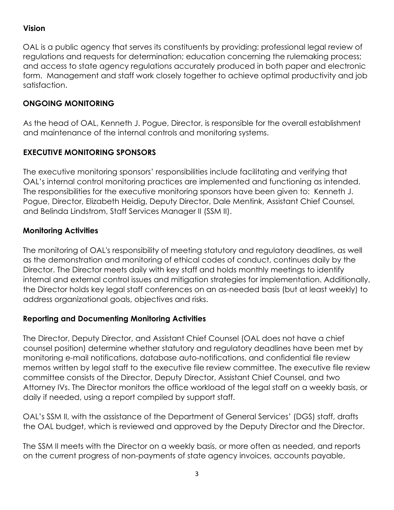#### **Vision**

OAL is a public agency that serves its constituents by providing: professional legal review of regulations and requests for determination; education concerning the rulemaking process; and access to state agency regulations accurately produced in both paper and electronic form. Management and staff work closely together to achieve optimal productivity and job satisfaction.

#### **ONGOING MONITORING**

As the head of OAL, Kenneth J. Pogue, Director, is responsible for the overall establishment and maintenance of the internal controls and monitoring systems.

#### **EXECUTIVE MONITORING SPONSORS**

The executive monitoring sponsors' responsibilities include facilitating and verifying that OAL's internal control monitoring practices are implemented and functioning as intended. The responsibilities for the executive monitoring sponsors have been given to: Kenneth J. Pogue, Director, Elizabeth Heidig, Deputy Director, Dale Mentink, Assistant Chief Counsel, and Belinda Lindstrom, Staff Services Manager II (SSM II).

#### **Monitoring Activities**

The monitoring of OAL's responsibility of meeting statutory and regulatory deadlines, as well as the demonstration and monitoring of ethical codes of conduct, continues daily by the Director. The Director meets daily with key staff and holds monthly meetings to identify internal and external control issues and mitigation strategies for implementation. Additionally, the Director holds key legal staff conferences on an as-needed basis (but at least weekly) to address organizational goals, objectives and risks.

#### **Reporting and Documenting Monitoring Activities**

The Director, Deputy Director, and Assistant Chief Counsel (OAL does not have a chief counsel position) determine whether statutory and regulatory deadlines have been met by monitoring e-mail notifications, database auto-notifications, and confidential file review memos written by legal staff to the executive file review committee. The executive file review committee consists of the Director, Deputy Director, Assistant Chief Counsel, and two Attorney IVs. The Director monitors the office workload of the legal staff on a weekly basis, or daily if needed, using a report compiled by support staff.

OAL's SSM II, with the assistance of the Department of General Services' (DGS) staff, drafts the OAL budget, which is reviewed and approved by the Deputy Director and the Director.

The SSM II meets with the Director on a weekly basis, or more often as needed, and reports on the current progress of non-payments of state agency invoices, accounts payable,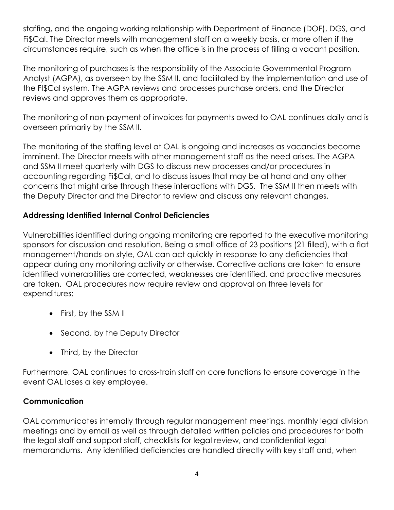staffing, and the ongoing working relationship with Department of Finance (DOF), DGS, and Fi\$Cal. The Director meets with management staff on a weekly basis, or more often if the circumstances require, such as when the office is in the process of filling a vacant position.

The monitoring of purchases is the responsibility of the Associate Governmental Program Analyst (AGPA), as overseen by the SSM II, and facilitated by the implementation and use of the FI\$Cal system. The AGPA reviews and processes purchase orders, and the Director reviews and approves them as appropriate.

The monitoring of non-payment of invoices for payments owed to OAL continues daily and is overseen primarily by the SSM II.

The monitoring of the staffing level at OAL is ongoing and increases as vacancies become imminent. The Director meets with other management staff as the need arises. The AGPA and SSM II meet quarterly with DGS to discuss new processes and/or procedures in accounting regarding Fi\$Cal, and to discuss issues that may be at hand and any other concerns that might arise through these interactions with DGS. The SSM II then meets with the Deputy Director and the Director to review and discuss any relevant changes.

#### **Addressing Identified Internal Control Deficiencies**

Vulnerabilities identified during ongoing monitoring are reported to the executive monitoring sponsors for discussion and resolution. Being a small office of 23 positions (21 filled), with a flat management/hands-on style, OAL can act quickly in response to any deficiencies that appear during any monitoring activity or otherwise. Corrective actions are taken to ensure identified vulnerabilities are corrected, weaknesses are identified, and proactive measures are taken. OAL procedures now require review and approval on three levels for expenditures:

- First, by the SSM II
- Second, by the Deputy Director
- Third, by the Director

Furthermore, OAL continues to cross-train staff on core functions to ensure coverage in the event OAL loses a key employee.

### **Communication**

OAL communicates internally through regular management meetings, monthly legal division meetings and by email as well as through detailed written policies and procedures for both the legal staff and support staff, checklists for legal review, and confidential legal memorandums. Any identified deficiencies are handled directly with key staff and, when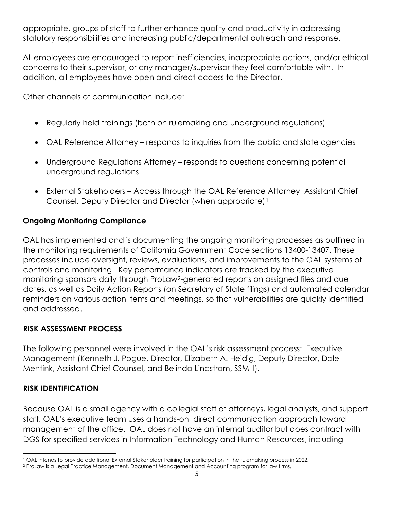appropriate, groups of staff to further enhance quality and productivity in addressing statutory responsibilities and increasing public/departmental outreach and response.

All employees are encouraged to report inefficiencies, inappropriate actions, and/or ethical concerns to their supervisor, or any manager/supervisor they feel comfortable with. In addition, all employees have open and direct access to the Director.

Other channels of communication include:

- Regularly held trainings (both on rulemaking and underground regulations)
- OAL Reference Attorney responds to inquiries from the public and state agencies
- Underground Regulations Attorney responds to questions concerning potential underground regulations
- External Stakeholders Access through the OAL Reference Attorney, Assistant Chief Counsel, Deputy Director and Director (when appropriate)[1](#page-4-0)

#### **Ongoing Monitoring Compliance**

OAL has implemented and is documenting the ongoing monitoring processes as outlined in the monitoring requirements of California Government Code sections 13400-13407. These processes include oversight, reviews, evaluations, and improvements to the OAL systems of controls and monitoring. Key performance indicators are tracked by the executive monitoring sponsors daily through ProLaw[2-](#page-4-1)generated reports on assigned files and due dates, as well as Daily Action Reports (on Secretary of State filings) and automated calendar reminders on various action items and meetings, so that vulnerabilities are quickly identified and addressed.

#### **RISK ASSESSMENT PROCESS**

The following personnel were involved in the OAL's risk assessment process: Executive Management (Kenneth J. Pogue, Director, Elizabeth A. Heidig, Deputy Director, Dale Mentink, Assistant Chief Counsel, and Belinda Lindstrom, SSM II).

#### **RISK IDENTIFICATION**

Because OAL is a small agency with a collegial staff of attorneys, legal analysts, and support staff, OAL's executive team uses a hands-on, direct communication approach toward management of the office. OAL does not have an internal auditor but does contract with DGS for specified services in Information Technology and Human Resources, including

<span id="page-4-0"></span><sup>1</sup> OAL intends to provide additional External Stakeholder training for participation in the rulemaking process in 2022.

<span id="page-4-1"></span><sup>2</sup> ProLaw is a Legal Practice Management, Document Management and Accounting program for law firms.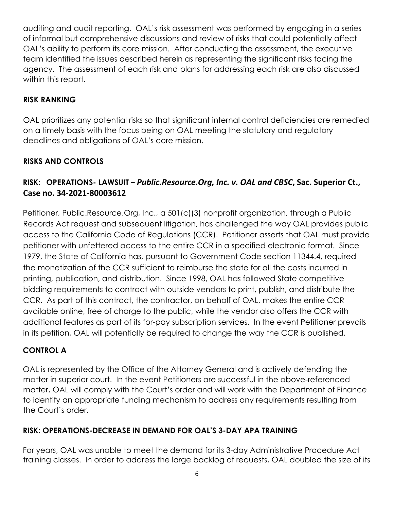auditing and audit reporting. OAL's risk assessment was performed by engaging in a series of informal but comprehensive discussions and review of risks that could potentially affect OAL's ability to perform its core mission. After conducting the assessment, the executive team identified the issues described herein as representing the significant risks facing the agency. The assessment of each risk and plans for addressing each risk are also discussed within this report.

#### **RISK RANKING**

OAL prioritizes any potential risks so that significant internal control deficiencies are remedied on a timely basis with the focus being on OAL meeting the statutory and regulatory deadlines and obligations of OAL's core mission.

#### **RISKS AND CONTROLS**

### **RISK: OPERATIONS- LAWSUIT –** *Public.Resource.Org, Inc. v. OAL and CBSC***, Sac. Superior Ct., Case no. 34-2021-80003612**

Petitioner, Public.Resource.Org, Inc., a 501(c)(3) nonprofit organization, through a Public Records Act request and subsequent litigation, has challenged the way OAL provides public access to the California Code of Regulations (CCR). Petitioner asserts that OAL must provide petitioner with unfettered access to the entire CCR in a specified electronic format. Since 1979, the State of California has, pursuant to Government Code section 11344.4, required the monetization of the CCR sufficient to reimburse the state for all the costs incurred in printing, publication, and distribution. Since 1998, OAL has followed State competitive bidding requirements to contract with outside vendors to print, publish, and distribute the CCR. As part of this contract, the contractor, on behalf of OAL, makes the entire CCR available online, free of charge to the public, while the vendor also offers the CCR with additional features as part of its for-pay subscription services. In the event Petitioner prevails in its petition, OAL will potentially be required to change the way the CCR is published.

#### **CONTROL A**

OAL is represented by the Office of the Attorney General and is actively defending the matter in superior court. In the event Petitioners are successful in the above-referenced matter, OAL will comply with the Court's order and will work with the Department of Finance to identify an appropriate funding mechanism to address any requirements resulting from the Court's order.

#### **RISK: OPERATIONS-DECREASE IN DEMAND FOR OAL'S 3-DAY APA TRAINING**

For years, OAL was unable to meet the demand for its 3-day Administrative Procedure Act training classes. In order to address the large backlog of requests, OAL doubled the size of its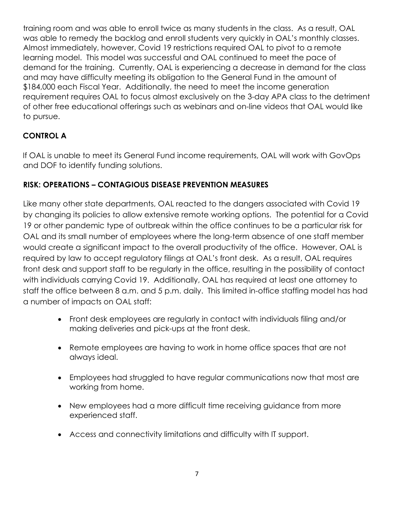training room and was able to enroll twice as many students in the class. As a result, OAL was able to remedy the backlog and enroll students very quickly in OAL's monthly classes. Almost immediately, however, Covid 19 restrictions required OAL to pivot to a remote learning model. This model was successful and OAL continued to meet the pace of demand for the training. Currently, OAL is experiencing a decrease in demand for the class and may have difficulty meeting its obligation to the General Fund in the amount of \$184,000 each Fiscal Year. Additionally, the need to meet the income generation requirement requires OAL to focus almost exclusively on the 3-day APA class to the detriment of other free educational offerings such as webinars and on-line videos that OAL would like to pursue.

## **CONTROL A**

If OAL is unable to meet its General Fund income requirements, OAL will work with GovOps and DOF to identify funding solutions.

### **RISK: OPERATIONS – CONTAGIOUS DISEASE PREVENTION MEASURES**

Like many other state departments, OAL reacted to the dangers associated with Covid 19 by changing its policies to allow extensive remote working options. The potential for a Covid 19 or other pandemic type of outbreak within the office continues to be a particular risk for OAL and its small number of employees where the long-term absence of one staff member would create a significant impact to the overall productivity of the office. However, OAL is required by law to accept regulatory filings at OAL's front desk. As a result, OAL requires front desk and support staff to be regularly in the office, resulting in the possibility of contact with individuals carrying Covid 19. Additionally, OAL has required at least one attorney to staff the office between 8 a.m. and 5 p.m. daily. This limited in-office staffing model has had a number of impacts on OAL staff:

- Front desk employees are regularly in contact with individuals filing and/or making deliveries and pick-ups at the front desk.
- Remote employees are having to work in home office spaces that are not always ideal.
- Employees had struggled to have regular communications now that most are working from home.
- New employees had a more difficult time receiving guidance from more experienced staff.
- Access and connectivity limitations and difficulty with IT support.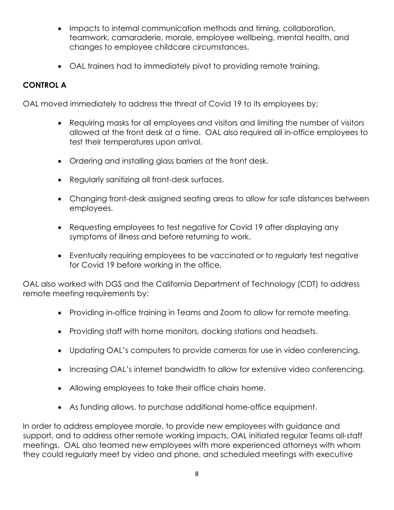- Impacts to internal communication methods and timing, collaboration, teamwork, camaraderie, morale, employee wellbeing, mental health, and changes to employee childcare circumstances.
- OAL trainers had to immediately pivot to providing remote training.

# **CONTROL A**

OAL moved immediately to address the threat of Covid 19 to its employees by:

- Requiring masks for all employees and visitors and limiting the number of visitors allowed at the front desk at a time. OAL also required all in-office employees to test their temperatures upon arrival.
- Ordering and installing glass barriers at the front desk.
- Regularly sanitizing all front-desk surfaces.
- Changing front-desk assigned seating areas to allow for safe distances between employees.
- Requesting employees to test negative for Covid 19 after displaying any symptoms of illness and before returning to work.
- Eventually requiring employees to be vaccinated or to regularly test negative for Covid 19 before working in the office.

OAL also worked with DGS and the California Department of Technology (CDT) to address remote meeting requirements by:

- Providing in-office training in Teams and Zoom to allow for remote meeting.
- Providing staff with home monitors, docking stations and headsets.
- Updating OAL's computers to provide cameras for use in video conferencing.
- Increasing OAL's internet bandwidth to allow for extensive video conferencing.
- Allowing employees to take their office chairs home.
- As funding allows, to purchase additional home-office equipment.

In order to address employee morale, to provide new employees with guidance and support, and to address other remote working impacts, OAL initiated regular Teams all-staff meetings. OAL also teamed new employees with more experienced attorneys with whom they could regularly meet by video and phone, and scheduled meetings with executive